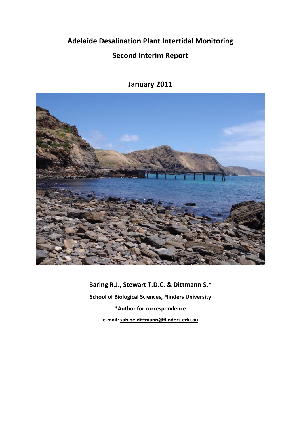# **Adelaide Desalination Plant Intertidal Monitoring Second Interim Report**

## **January 2011**



**Baring R.J., Stewart T.D.C. & Dittmann S.\* School of Biological Sciences, Flinders University \*Author for correspondence e-mail: sabine.dittmann@flinders.edu.au**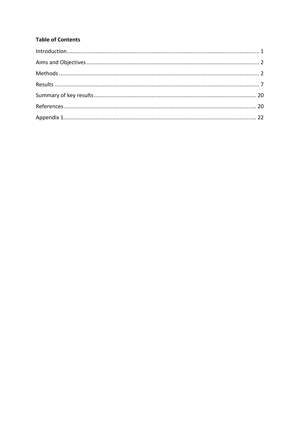## **Table of Contents**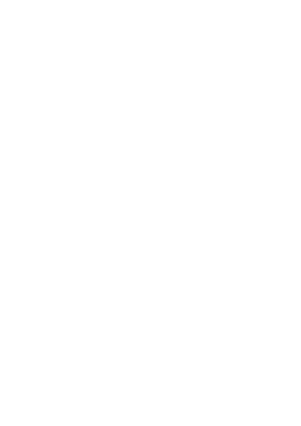<span id="page-3-0"></span>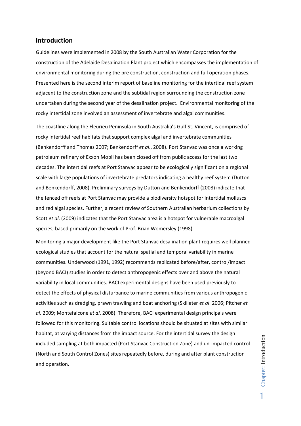### **Introduction**

Guidelines were implemented in 2008 by the South Australian Water Corporation for the construction of the Adelaide Desalination Plant project which encompasses the implementation of environmental monitoring during the pre construction, construction and full operation phases. Presented here is the second interim report of baseline monitoring for the intertidal reef system adjacent to the construction zone and the subtidal region surrounding the construction zone undertaken during the second year of the desalination project. Environmental monitoring of the rocky intertidal zone involved an assessment of invertebrate and algal communities.

The coastline along the Fleurieu Peninsula in South Australia's Gulf St. Vincent, is comprised of rocky intertidal reef habitats that support complex algal and invertebrate communities (Benkendorff and Thomas 2007; Benkendorff *et al*., 2008). Port Stanvac was once a working petroleum refinery of Exxon Mobil has been closed off from public access for the last two decades. The intertidal reefs at Port Stanvac appear to be ecologically significant on a regional scale with large populations of invertebrate predators indicating a healthy reef system (Dutton and Benkendorff, 2008). Preliminary surveys by Dutton and Benkendorff (2008) indicate that the fenced off reefs at Port Stanvac may provide a biodiversity hotspot for intertidal molluscs and red algal species. Further, a recent review of Southern Australian herbarium collections by Scott *et al*. (2009) indicates that the Port Stanvac area is a hotspot for vulnerable macroalgal species, based primarily on the work of Prof. Brian Womersley (1998).

Monitoring a major development like the Port Stanvac desalination plant requires well planned ecological studies that account for the natural spatial and temporal variability in marine communities. Underwood (1991, 1992) recommends replicated before/after, control/impact (beyond BACI) studies in order to detect anthropogenic effects over and above the natural variability in local communities. BACI experimental designs have been used previously to detect the effects of physical disturbance to marine communities from various anthropogenic activities such as dredging, prawn trawling and boat anchoring (Skilleter *et al*. 2006; Pitcher *et al*. 2009; Montefalcone *et al*. 2008). Therefore, BACI experimental design principals were followed for this monitoring. Suitable control locations should be situated at sites with similar habitat, at varying distances from the impact source. For the intertidal survey the design included sampling at both impacted (Port Stanvac Construction Zone) and un-impacted control (North and South Control Zones) sites repeatedly before, during and after plant construction and operation.

1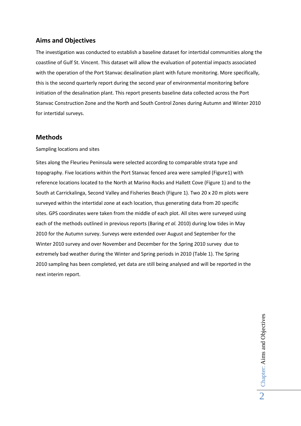## <span id="page-5-0"></span>**Aims and Objectives**

The investigation was conducted to establish a baseline dataset for intertidal communities along the coastline of Gulf St. Vincent. This dataset will allow the evaluation of potential impacts associated with the operation of the Port Stanvac desalination plant with future monitoring. More specifically, this is the second quarterly report during the second year of environmental monitoring before initiation of the desalination plant. This report presents baseline data collected across the Port Stanvac Construction Zone and the North and South Control Zones during Autumn and Winter 2010 for intertidal surveys.

## <span id="page-5-1"></span>**Methods**

Sampling locations and sites

Sites along the Fleurieu Peninsula were selected according to comparable strata type and topography. Five locations within the Port Stanvac fenced area were sampled (Figure1) with reference locations located to the North at Marino Rocks and Hallett Cove (Figure 1) and to the South at Carrickalinga, Second Valley and Fisheries Beach (Figure 1). Two 20 x 20 m plots were surveyed within the intertidal zone at each location, thus generating data from 20 specific sites. GPS coordinates were taken from the middle of each plot. All sites were surveyed using each of the methods outlined in previous reports (Baring *et al.* 2010) during low tides in May 2010 for the Autumn survey. Surveys were extended over August and September for the Winter 2010 survey and over November and December for the Spring 2010 survey due to extremely bad weather during the Winter and Spring periods in 2010 (Table 1). The Spring 2010 sampling has been completed, yet data are still being analysed and will be reported in the next interim report.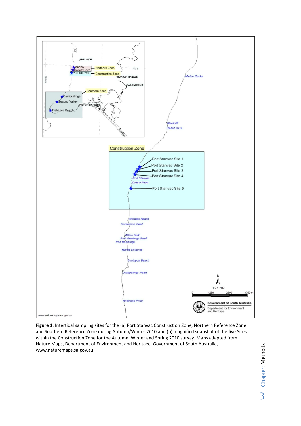

**Figure 1**: Intertidal sampling sites for the (a) Port Stanvac Construction Zone, Northern Reference Zone and Southern Reference Zone during Autumn/Winter 2010 and (b) magnified snapshot of the five Sites within the Construction Zone for the Autumn, Winter and Spring 2010 survey. Maps adapted from Nature Maps, Department of Environment and Heritage, Government of South Australia, www.naturemaps.sa.gov.au

Chapter: Methods Ohapter: Methods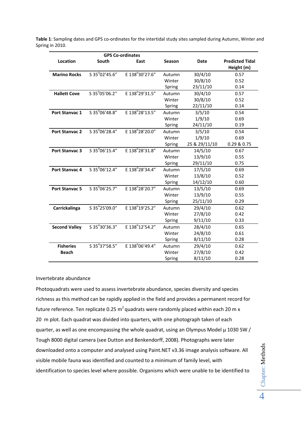|                       |                                               | <b>GPS Co-ordinates</b> |               |               |                        |  |
|-----------------------|-----------------------------------------------|-------------------------|---------------|---------------|------------------------|--|
| Location              | South                                         | East                    | <b>Season</b> | <b>Date</b>   | <b>Predicted Tidal</b> |  |
|                       |                                               |                         |               |               | Height (m)             |  |
| <b>Marino Rocks</b>   | S 35°02'45.6"                                 | E 138°30'27.6"          | Autumn        | 30/4/10       | 0.57                   |  |
|                       |                                               |                         | Winter        | 30/8/10       | 0.52                   |  |
|                       |                                               |                         | Spring        | 23/11/10      | 0.14                   |  |
| <b>Hallett Cove</b>   | S 35°05'06.2"                                 | E 138°29'31.5"          | Autumn        | 30/4/10       | 0.57                   |  |
|                       |                                               |                         | Winter        | 30/8/10       | 0.52                   |  |
|                       |                                               |                         | Spring        | 22/11/10      | 0.14                   |  |
| Port Stanvac 1        | S 35°06'48.8"                                 | E 138°28'13.5"          | Autumn        | 3/5/10        | 0.54                   |  |
|                       |                                               |                         | Winter        | 1/9/10        | 0.69                   |  |
|                       |                                               |                         | Spring        | 24/11/10      | 0.19                   |  |
| <b>Port Stanvac 2</b> | S 35°06'28.4"                                 | E 138°28'20.0"          | Autumn        | 3/5/10        | 0.54                   |  |
|                       |                                               |                         | Winter        | 1/9/10        | 0.69                   |  |
|                       |                                               |                         | Spring        | 25 & 29/11/10 | 0.29 & 0.75            |  |
| <b>Port Stanvac 3</b> | S 35°06'15.4"                                 | E 138°28'31.8"          | Autumn        | 14/5/10       | 0.67                   |  |
|                       |                                               |                         | Winter        | 13/9/10       | 0.55                   |  |
|                       |                                               |                         | Spring        | 29/11/10      | 0.75                   |  |
| Port Stanyac 4        | S 35°06'12.4"                                 | E 138°28'34.4"          | Autumn        | 17/5/10       | 0.69                   |  |
|                       |                                               |                         | Winter        | 13/8/10       | 0.52                   |  |
|                       |                                               |                         | Spring        | 14/12/10      | 0.60                   |  |
| <b>Port Stanvac 5</b> | S 35°06'25.7"                                 | E 138°28'20.7"          | Autumn        | 13/5/10       | 0.69                   |  |
|                       |                                               |                         | Winter        | 13/9/10       | 0.55                   |  |
|                       |                                               |                         | Spring        | 25/11/10      | 0.29                   |  |
| Carrickalinga         | S 35°25'09.0"                                 | E 138°19'25.2"          | Autumn        | 29/4/10       | 0.62                   |  |
|                       |                                               |                         | Winter        | 27/8/10       | 0.42                   |  |
|                       |                                               |                         | Spring        | 9/11/10       | 0.33                   |  |
| <b>Second Valley</b>  | $S\,35^{\circ}30^{\prime}36.3^{\prime\prime}$ | E 138°12'54.2"          | Autumn        | 28/4/10       | 0.65                   |  |
|                       |                                               |                         | Winter        | 24/8/10       | 0.61                   |  |
|                       |                                               |                         | Spring        | 8/11/10       | 0.28                   |  |
| <b>Fisheries</b>      | S 35°37'58.5"                                 | E 138°06'49.4"          | Autumn        | 29/4/10       | 0.62                   |  |
| <b>Beach</b>          |                                               |                         | Winter        | 27/8/10       | 0.42                   |  |
|                       |                                               |                         | Spring        | 8/11/10       | 0.28                   |  |

**Table 1**: Sampling dates and GPS co-ordinates for the intertidal study sites sampled during Autumn, Winter and Spring in 2010.

#### Invertebrate abundance

Photoquadrats were used to assess invertebrate abundance, species diversity and species richness as this method can be rapidly applied in the field and provides a permanent record for future reference. Ten replicate 0.25  $m^2$  quadrats were randomly placed within each 20 m x 20 m plot. Each quadrat was divided into quarters, with one photograph taken of each quarter, as well as one encompassing the whole quadrat, using an Olympus Model  $\mu$  1030 SW / Tough 8000 digital camera (see Dutton and Benkendorff, 2008). Photographs were later downloaded onto a computer and analysed using Paint.NET v3.36 image analysis software. All visible mobile fauna was identified and counted to a minimum of family level, with identification to species level where possible. Organisms which were unable to be identified to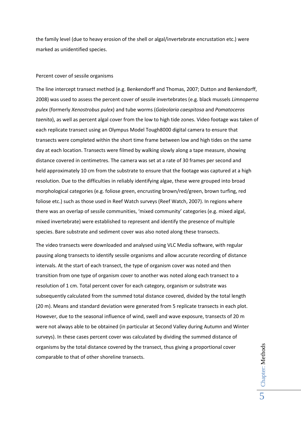the family level (due to heavy erosion of the shell or algal/invertebrate encrustation etc.) were marked as unidentified species.

#### Percent cover of sessile organisms

The line intercept transect method (e.g. Benkendorff and Thomas, 2007; Dutton and Benkendorff, 2008) was used to assess the percent cover of sessile invertebrates (e.g. black mussels *Limnoperna pulex* (formerly *Xenostrobus pulex*) and tube worms (*Galeolaria caespitosa* and *Pomatoceros taenita*), as well as percent algal cover from the low to high tide zones. Video footage was taken of each replicate transect using an Olympus Model Tough8000 digital camera to ensure that transects were completed within the short time frame between low and high tides on the same day at each location. Transects were filmed by walking slowly along a tape measure, showing distance covered in centimetres. The camera was set at a rate of 30 frames per second and held approximately 10 cm from the substrate to ensure that the footage was captured at a high resolution. Due to the difficulties in reliably identifying algae, these were grouped into broad morphological categories (e.g. foliose green, encrusting brown/red/green, brown turfing, red foliose etc.) such as those used in Reef Watch surveys (Reef Watch, 2007). In regions where there was an overlap of sessile communities, 'mixed community' categories (e.g. mixed algal, mixed invertebrate) were established to represent and identify the presence of multiple species. Bare substrate and sediment cover was also noted along these transects.

The video transects were downloaded and analysed using VLC Media software, with regular pausing along transects to identify sessile organisms and allow accurate recording of distance intervals. At the start of each transect, the type of organism cover was noted and then transition from one type of organism cover to another was noted along each transect to a resolution of 1 cm. Total percent cover for each category, organism or substrate was subsequently calculated from the summed total distance covered, divided by the total length (20 m). Means and standard deviation were generated from 5 replicate transects in each plot. However, due to the seasonal influence of wind, swell and wave exposure, transects of 20 m were not always able to be obtained (in particular at Second Valley during Autumn and Winter surveys). In these cases percent cover was calculated by dividing the summed distance of organisms by the total distance covered by the transect, thus giving a proportional cover comparable to that of other shoreline transects.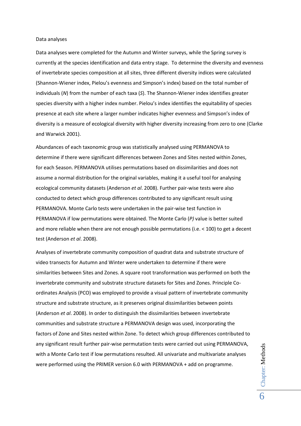#### Data analyses

Data analyses were completed for the Autumn and Winter surveys, while the Spring survey is currently at the species identification and data entry stage. To determine the diversity and evenness of invertebrate species composition at all sites, three different diversity indices were calculated (Shannon-Wiener index, Pielou's evenness and Simpson's index) based on the total number of individuals (*N*) from the number of each taxa (*S*). The Shannon-Wiener index identifies greater species diversity with a higher index number. Pielou's index identifies the equitability of species presence at each site where a larger number indicates higher evenness and Simpson's index of diversity is a measure of ecological diversity with higher diversity increasing from zero to one (Clarke and Warwick 2001).

Abundances of each taxonomic group was statistically analysed using PERMANOVA to determine if there were significant differences between Zones and Sites nested within Zones, for each Season. PERMANOVA utilises permutations based on dissimilarities and does not assume a normal distribution for the original variables, making it a useful tool for analysing ecological community datasets (Anderson *et al*. 2008). Further pair-wise tests were also conducted to detect which group differences contributed to any significant result using PERMANOVA. Monte Carlo tests were undertaken in the pair-wise test function in PERMANOVA if low permutations were obtained. The Monte Carlo (*P)* value is better suited and more reliable when there are not enough possible permutations (i.e. < 100) to get a decent test (Anderson *et al*. 2008).

Analyses of invertebrate community composition of quadrat data and substrate structure of video transects for Autumn and Winter were undertaken to determine if there were similarities between Sites and Zones. A square root transformation was performed on both the invertebrate community and substrate structure datasets for Sites and Zones. Principle Coordinates Analysis (PCO) was employed to provide a visual pattern of invertebrate community structure and substrate structure, as it preserves original dissimilarities between points (Anderson *et al*. 2008). In order to distinguish the dissimilarities between invertebrate communities and substrate structure a PERMANOVA design was used, incorporating the factors of Zone and Sites nested within Zone. To detect which group differences contributed to any significant result further pair-wise permutation tests were carried out using PERMANOVA, with a Monte Carlo test if low permutations resulted. All univariate and multivariate analyses were performed using the PRIMER version 6.0 with PERMANOVA + add on programme.

6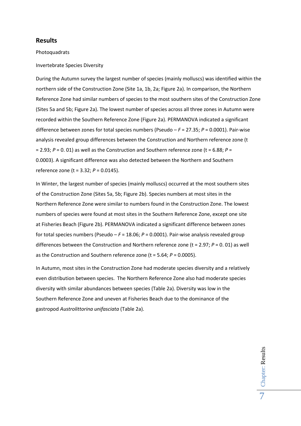### <span id="page-10-0"></span>**Results**

Photoquadrats

#### Invertebrate Species Diversity

During the Autumn survey the largest number of species (mainly molluscs) was identified within the northern side of the Construction Zone (Site 1a, 1b, 2a; Figure 2a). In comparison, the Northern Reference Zone had similar numbers of species to the most southern sites of the Construction Zone (Sites 5a and 5b; Figure 2a). The lowest number of species across all three zones in Autumn were recorded within the Southern Reference Zone (Figure 2a). PERMANOVA indicated a significant difference between zones for total species numbers (Pseudo – *F* = 27.35; *P* = 0.0001). Pair-wise analysis revealed group differences between the Construction and Northern reference zone (t  $= 2.93$ ;  $P = 0.01$ ) as well as the Construction and Southern reference zone (t = 6.88;  $P = 0$ 0.0003). A significant difference was also detected between the Northern and Southern reference zone (t = 3.32; *P* = 0.0145).

In Winter, the largest number of species (mainly molluscs) occurred at the most southern sites of the Construction Zone (Sites 5a, 5b; Figure 2b). Species numbers at most sites in the Northern Reference Zone were similar to numbers found in the Construction Zone. The lowest numbers of species were found at most sites in the Southern Reference Zone, except one site at Fisheries Beach (Figure 2b). PERMANOVA indicated a significant difference between zones for total species numbers (Pseudo – *F* = 18.06; *P* = 0.0001). Pair-wise analysis revealed group differences between the Construction and Northern reference zone (t = 2.97; *P* = 0. 01) as well as the Construction and Southern reference zone (t = 5.64; *P* = 0.0005).

In Autumn, most sites in the Construction Zone had moderate species diversity and a relatively even distribution between species. The Northern Reference Zone also had moderate species diversity with similar abundances between species (Table 2a). Diversity was low in the Southern Reference Zone and uneven at Fisheries Beach due to the dominance of the gastropod *Austrolittorina unifasciata* (Table 2a).

7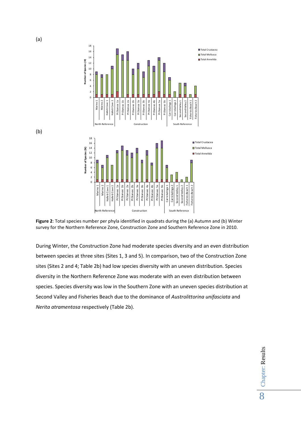

**Figure 2**: Total species number per phyla identified in quadrats during the (a) Autumn and (b) Winter survey for the Northern Reference Zone, Construction Zone and Southern Reference Zone in 2010.

During Winter, the Construction Zone had moderate species diversity and an even distribution between species at three sites (Sites 1, 3 and 5). In comparison, two of the Construction Zone sites (Sites 2 and 4; Table 2b) had low species diversity with an uneven distribution. Species diversity in the Northern Reference Zone was moderate with an even distribution between species. Species diversity was low in the Southern Zone with an uneven species distribution at Second Valley and Fisheries Beach due to the dominance of *Austrolittorina unifasciata* and *Nerita atramentosa* respectively (Table 2b).

> **Chapter: Results** Chapter: Results 8

(b)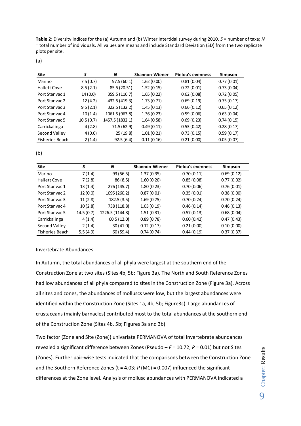**Table 2**: Diversity indices for the (a) Autumn and (b) Winter intertidal survey during 2010. *S* = number of taxa; *N* = total number of individuals. All values are means and include Standard Deviation (SD) from the two replicate plots per site.

| $\sim$ |  |
|--------|--|
| ×<br>× |  |

| <b>Site</b>         | S         | N               | <b>Shannon-Wiener</b> | <b>Pielou's evenness</b> | Simpson    |
|---------------------|-----------|-----------------|-----------------------|--------------------------|------------|
| Marino              | 7.5(0.7)  | 97.5(60.1)      | 1.62(0.00)            | 0.81(0.04)               | 0.77(0.01) |
| <b>Hallett Cove</b> | 8.5(2.1)  | 85.5 (20.51)    | 1.52(0.15)            | 0.72(0.01)               | 0.73(0.04) |
| Port Stanyac 1      | 14 (0.0)  | 359.5 (116.7)   | 1.65(0.22)            | 0.62(0.08)               | 0.72(0.05) |
| Port Stanyac 2      | 12 (4.2)  | 432.5 (419.3)   | 1.73(0.71)            | 0.69(0.19)               | 0.75(0.17) |
| Port Stanyac 3      | 9.5(2.1)  | 322.5 (132.2)   | 1.45(0.13)            | 0.66(0.12)               | 0.65(0.12) |
| Port Stanyac 4      | 10(1.4)   | 1061.5 (963.8)  | 1.36(0.23)            | 0.59(0.06)               | 0.63(0.04) |
| Port Stanyac 5      | 10.5(0.7) | 1457.5 (1832.1) | 1.64(0.58)            | 0.69(0.23)               | 0.74(0.15) |
| Carrickalinga       | 4(2.8)    | 71.5 (62.9)     | 0.49(0.11)            | 0.53(0.42)               | 0.28(0.17) |
| Second Valley       | 4(0.0)    | 25(19.8)        | 1.01(0.21)            | 0.73(0.15)               | 0.59(0.17) |
| Fisheries Beach     | 2(1.4)    | 92.5(6.4)       | 0.11(0.16)            | 0.21(0.00)               | 0.05(0.07) |

(b)

| <b>Site</b>     | S         | N               | <b>Shannon-Wiener</b> | <b>Pielou's evenness</b> | Simpson    |
|-----------------|-----------|-----------------|-----------------------|--------------------------|------------|
| Marino          | 7(1.4)    | 93 (56.5)       | 1.37(0.35)            | 0.70(0.11)               | 0.69(0.12) |
| Hallett Cove    | 7(2.8)    | 86(8.5)         | 1.60(0.20)            | 0.85(0.08)               | 0.77(0.02) |
| Port Stanyac 1  | 13(1.4)   | 276 (145.7)     | 1.80(0.23)            | 0.70(0.06)               | 0.76(0.01) |
| Port Stanyac 2  | 12(0.0)   | 1095 (260.2)    | 0.87(0.01)            | 0.35(0.01)               | 0.38(0.00) |
| Port Stanyac 3  | 11(2.8)   | 182.5(3.5)      | 1.69(0.75)            | 0.70(0.24)               | 0.70(0.24) |
| Port Stanyac 4  | 10(2.8)   | 738 (118.8)     | 1.03(0.19)            | 0.46(0.14)               | 0.46(0.13) |
| Port Stanyac 5  | 14.5(0.7) | 1226.5 (1144.8) | 1.51(0.31)            | 0.57(0.13)               | 0.68(0.04) |
| Carrickalinga   | 4(1.4)    | 60.5(12.0)      | 0.89(0.78)            | 0.60(0.42)               | 0.47(0.43) |
| Second Valley   | 2(1.4)    | 30(41.0)        | 0.12(0.17)            | 0.21(0.00)               | 0.10(0.00) |
| Fisheries Beach | 5.5(4.9)  | 60(59.4)        | 0.74(0.74)            | 0.44(0.19)               | 0.37(0.37) |

#### Invertebrate Abundances

In Autumn, the total abundances of all phyla were largest at the southern end of the Construction Zone at two sites (Sites 4b, 5b: Figure 3a). The North and South Reference Zones had low abundances of all phyla compared to sites in the Construction Zone (Figure 3a). Across all sites and zones, the abundances of molluscs were low, but the largest abundances were identified within the Construction Zone (Sites 1a, 4b, 5b; Figure3c). Large abundances of crustaceans (mainly barnacles) contributed most to the total abundances at the southern end of the Construction Zone (Sites 4b, 5b; Figures 3a and 3b).

Two factor (Zone and Site (Zone)) univariate PERMANOVA of total invertebrate abundances revealed a significant difference between Zones (Pseudo – *F* = 10.72; *P* = 0.01) but not Sites (Zones). Further pair-wise tests indicated that the comparisons between the Construction Zone and the Southern Reference Zones (t = 4.03; *P* (MC) = 0.007) influenced the significant differences at the Zone level. Analysis of mollusc abundances with PERMANOVA indicated a

Chapter: Results O Chapter: Results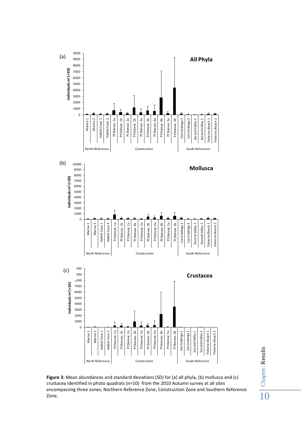

**Figure 3**: Mean abundances and standard deviations (SD) for (a) all phyla, (b) mollusca and (c) crustacea identified in photo quadrats (n=10) from the 2010 Autumn survey at all sites encompassing three zones; Northern Reference Zone, Construction Zone and Southern Reference Zone.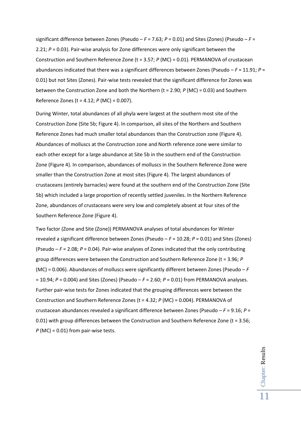significant difference between Zones (Pseudo – *F* = 7.63; *P* = 0.01) and Sites (Zones) (Pseudo – *F* = 2.21; *P* = 0.03). Pair-wise analysis for Zone differences were only significant between the Construction and Southern Reference Zone (t = 3.57; *P* (MC) = 0.01). PERMANOVA of crustacean abundances indicated that there was a significant differences between Zones (Pseudo – *F* = 11.91; *P* = 0.01) but not Sites (Zones). Pair-wise tests revealed that the significant difference for Zones was between the Construction Zone and both the Northern (t = 2.90; *P* (MC) = 0.03) and Southern Reference Zones (t = 4.12; *P* (MC) = 0.007).

During Winter, total abundances of all phyla were largest at the southern most site of the Construction Zone (Site 5b; Figure 4). In comparison, all sites of the Northern and Southern Reference Zones had much smaller total abundances than the Construction zone (Figure 4). Abundances of molluscs at the Construction zone and North reference zone were similar to each other except for a large abundance at Site 5b in the southern end of the Construction Zone (Figure 4). In comparison, abundances of molluscs in the Southern Reference Zone were smaller than the Construction Zone at most sites (Figure 4). The largest abundances of crustaceans (entirely barnacles) were found at the southern end of the Construction Zone (Site 5b) which included a large proportion of recently settled juveniles. In the Northern Reference Zone, abundances of crustaceans were very low and completely absent at four sites of the Southern Reference Zone (Figure 4).

Two factor (Zone and Site (Zone)) PERMANOVA analyses of total abundances for Winter revealed a significant difference between Zones (Pseudo – *F* = 10.28; *P* = 0.01) and Sites (Zones) (Pseudo – *F* = 2.08; *P* = 0.04). Pair-wise analyses of Zones indicated that the only contributing group differences were between the Construction and Southern Reference Zone (t = 3.96; *P* (MC) = 0.006). Abundances of molluscs were significantly different between Zones (Pseudo – *F* = 10.94; *P* = 0.004) and Sites (Zones) (Pseudo – *F* = 2.60; *P* = 0.01) from PERMANOVA analyses. Further pair-wise tests for Zones indicated that the grouping differences were between the Construction and Southern Reference Zones (t = 4.32; *P* (MC) = 0.004). PERMANOVA of crustacean abundances revealed a significant difference between Zones (Pseudo – *F* = 9.16; *P* = 0.01) with group differences between the Construction and Southern Reference Zone (t = 3.56; *P* (MC) = 0.01) from pair-wise tests.

> Chapter: Results Chapter: Results 11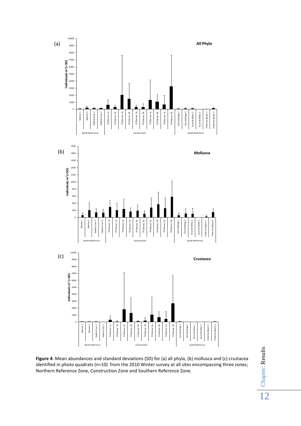

**Figure 4**: Mean abundances and standard deviations (SD) for (a) all phyla, (b) mollusca and (c) crustacea identified in photo quadrats (n=10) from the 2010 Winter survey at all sites encompassing three zones; Northern Reference Zone, Construction Zone and Southern Reference Zone.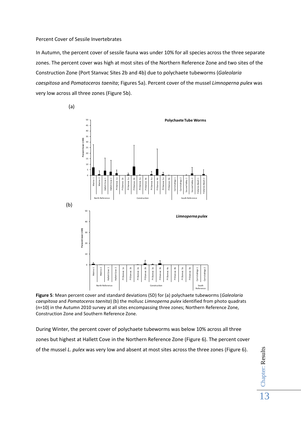#### Percent Cover of Sessile Invertebrates

In Autumn, the percent cover of sessile fauna was under 10% for all species across the three separate zones. The percent cover was high at most sites of the Northern Reference Zone and two sites of the Construction Zone (Port Stanvac Sites 2b and 4b) due to polychaete tubeworms (*Galeolaria caespitosa* and *Pomatoceros taenita*; Figures 5a). Percent cover of the mussel *Limnoperna pulex* was very low across all three zones (Figure 5b).



**Figure 5**: Mean percent cover and standard deviations (SD) for (a) polychaete tubeworms (*Galeolaria caespitosa* and *Pomatoceros taenita*) (b) the mollusc *Limnoperna pulex* identified from photo quadrats (n=10) in the Autumn 2010 survey at all sites encompassing three zones; Northern Reference Zone, Construction Zone and Southern Reference Zone.

During Winter, the percent cover of polychaete tubeworms was below 10% across all three zones but highest at Hallett Cove in the Northern Reference Zone (Figure 6). The percent cover of the mussel *L. pulex* was very low and absent at most sites across the three zones (Figure 6).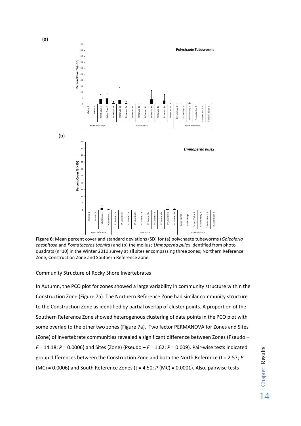

**Figure 6**: Mean percent cover and standard deviations (SD) for (a) polychaete tubeworms (*Galeolaria caespitosa* and *Pomatoceros taenita*) and (b) the mollusc *Limnoperna pulex* identified from photo quadrats (n=10) in the Winter 2010 survey at all sites encompassing three zones; Northern Reference Zone, Construction Zone and Southern Reference Zone.

Community Structure of Rocky Shore Invertebrates

(a)

In Autumn, the PCO plot for zones showed a large variability in community structure within the Construction Zone (Figure 7a). The Northern Reference Zone had similar community structure to the Construction Zone as identified by partial overlap of cluster points. A proportion of the Southern Reference Zone showed heterogenous clustering of data points in the PCO plot with some overlap to the other two zones (Figure 7a). Two factor PERMANOVA for Zones and Sites (Zone) of invertebrate communities revealed a significant difference between Zones (Pseudo – *F* = 14.18; *P* = 0.0006) and Sites (Zone) (Pseudo – *F* = 1.62; *P* = 0.009). Pair-wise tests indicated group differences between the Construction Zone and both the North Reference (t = 2.57; *P* (MC) = 0.0006) and South Reference Zones (t = 4.50; *P* (MC) = 0.0001). Also, pairwise tests

14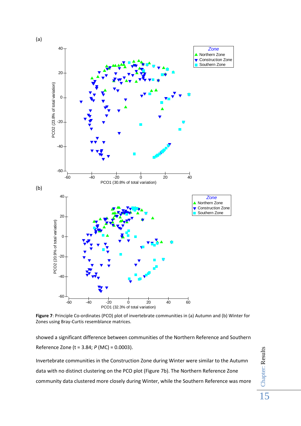

**Figure 7**: Principle Co-ordinates (PCO) plot of invertebrate communities in (a) Autumn and (b) Winter for Zones using Bray-Curtis resemblance matrices.

showed a significant difference between communities of the Northern Reference and Southern Reference Zone (t = 3.84; *P* (MC) = 0.0003).

Invertebrate communities in the Construction Zone during Winter were similar to the Autumn data with no distinct clustering on the PCO plot (Figure 7b). The Northern Reference Zone community data clustered more closely during Winter, while the Southern Reference was more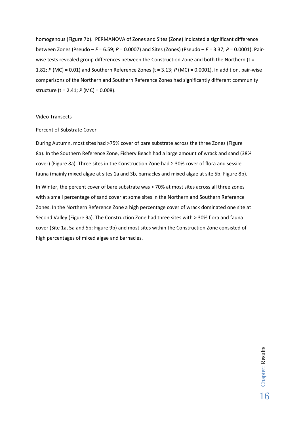homogenous (Figure 7b). PERMANOVA of Zones and Sites (Zone) indicated a significant difference between Zones (Pseudo – *F* = 6.59; *P* = 0.0007) and Sites (Zones) (Pseudo – *F* = 3.37; *P* = 0.0001). Pairwise tests revealed group differences between the Construction Zone and both the Northern (t = 1.82; *P* (MC) = 0.01) and Southern Reference Zones (t = 3.13; *P* (MC) = 0.0001). In addition, pair-wise comparisons of the Northern and Southern Reference Zones had significantly different community structure (t = 2.41; *P* (MC) = 0.008).

#### Video Transects

#### Percent of Substrate Cover

During Autumn, most sites had >75% cover of bare substrate across the three Zones (Figure 8a). In the Southern Reference Zone, Fishery Beach had a large amount of wrack and sand (38% cover) (Figure 8a). Three sites in the Construction Zone had ≥ 30% cover of flora and sessile fauna (mainly mixed algae at sites 1a and 3b, barnacles and mixed algae at site 5b; Figure 8b).

In Winter, the percent cover of bare substrate was > 70% at most sites across all three zones with a small percentage of sand cover at some sites in the Northern and Southern Reference Zones. In the Northern Reference Zone a high percentage cover of wrack dominated one site at Second Valley (Figure 9a). The Construction Zone had three sites with > 30% flora and fauna cover (Site 1a, 5a and 5b; Figure 9b) and most sites within the Construction Zone consisted of high percentages of mixed algae and barnacles.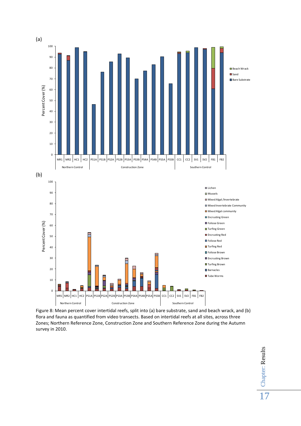

Figure 8: Mean percent cover intertidal reefs, split into (a) bare substrate, sand and beach wrack, and (b) flora and fauna as quantified from video transects. Based on intertidal reefs at all sites, across three Zones; Northern Reference Zone, Construction Zone and Southern Reference Zone during the Autumn survey in 2010.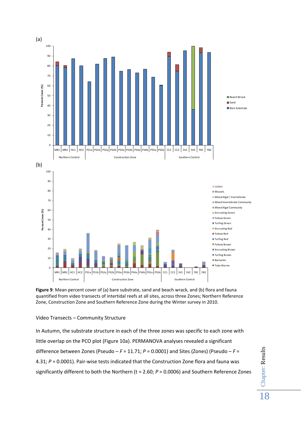

**Figure 9**: Mean percent cover of (a) bare substrate, sand and beach wrack, and (b) flora and fauna quantified from video transects of intertidal reefs at all sites, across three Zones; Northern Reference Zone, Construction Zone and Southern Reference Zone during the Winter survey in 2010.

Video Transects – Community Structure

In Autumn, the substrate structure in each of the three zones was specific to each zone with little overlap on the PCO plot (Figure 10a). PERMANOVA analyses revealed a significant difference between Zones (Pseudo  $-F = 11.71$ ;  $P = 0.0001$ ) and Sites (Zones) (Pseudo  $-F =$ 4.31; *P* = 0.0001). Pair-wise tests indicated that the Construction Zone flora and fauna was significantly different to both the Northern (t = 2.60; *P* = 0.0006) and Southern Reference Zones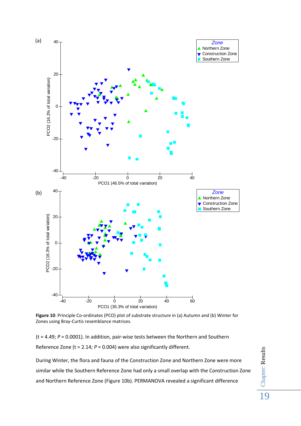

**Figure 10**: Principle Co-ordinates (PCO) plot of substrate structure in (a) Autumn and (b) Winter for Zones using Bray-Curtis resemblance matrices.

(t = 4.49; *P* = 0.0001). In addition, pair-wise tests between the Northern and Southern Reference Zone (t = 2.14; *P* = 0.004) were also significantly different.

During Winter, the flora and fauna of the Construction Zone and Northern Zone were more similar while the Southern Reference Zone had only a small overlap with the Construction Zone and Northern Reference Zone (Figure 10b). PERMANOVA revealed a significant difference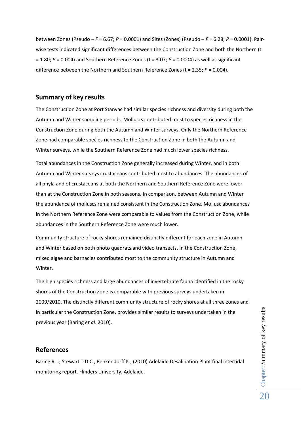between Zones (Pseudo – *F* = 6.67; *P* = 0.0001) and Sites (Zones) (Pseudo – *F* = 6.28; *P* = 0.0001). Pairwise tests indicated significant differences between the Construction Zone and both the Northern (t = 1.80; *P* = 0.004) and Southern Reference Zones (t = 3.07; *P* = 0.0004) as well as significant difference between the Northern and Southern Reference Zones (t = 2.35; *P* = 0.004).

## <span id="page-23-0"></span>**Summary of key results**

The Construction Zone at Port Stanvac had similar species richness and diversity during both the Autumn and Winter sampling periods. Molluscs contributed most to species richness in the Construction Zone during both the Autumn and Winter surveys. Only the Northern Reference Zone had comparable species richness to the Construction Zone in both the Autumn and Winter surveys, while the Southern Reference Zone had much lower species richness.

Total abundances in the Construction Zone generally increased during Winter, and in both Autumn and Winter surveys crustaceans contributed most to abundances. The abundances of all phyla and of crustaceans at both the Northern and Southern Reference Zone were lower than at the Construction Zone in both seasons. In comparison, between Autumn and Winter the abundance of molluscs remained consistent in the Construction Zone. Mollusc abundances in the Northern Reference Zone were comparable to values from the Construction Zone, while abundances in the Southern Reference Zone were much lower.

Community structure of rocky shores remained distinctly different for each zone in Autumn and Winter based on both photo quadrats and video transects. In the Construction Zone, mixed algae and barnacles contributed most to the community structure in Autumn and Winter.

The high species richness and large abundances of invertebrate fauna identified in the rocky shores of the Construction Zone is comparable with previous surveys undertaken in 2009/2010. The distinctly different community structure of rocky shores at all three zones and in particular the Construction Zone, provides similar results to surveys undertaken in the previous year (Baring *et al*. 2010).

## <span id="page-23-1"></span>**References**

Baring R.J., Stewart T.D.C., Benkendorff K., (2010) Adelaide Desalination Plant final intertidal monitoring report. Flinders University, Adelaide.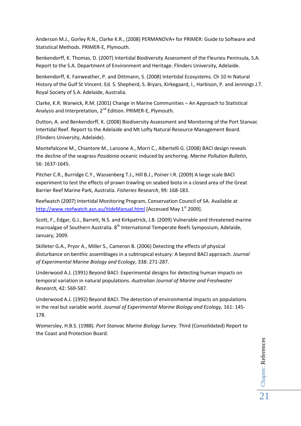Anderson M.J., Gorley R.N., Clarke K.R., (2008) PERMANOVA+ for PRIMER: Guide to Software and Statistical Methods. PRIMER-E, Plymouth.

Benkendorff, K. Thomas, D. (2007) Intertidal Biodiversity Assessment of the Fleurieu Peninsula, S.A. Report to the S.A. Department of Environment and Heritage. Flinders University, Adelaide.

Benkendorff, K. Fairweather, P. and Dittmann, S. (2008) Intertidal Ecosystems. Ch 10 In Natural History of the Gulf St Vincent. Ed. S. Shepherd, S. Bryars, Kirkegaard, I., Harbison, P. and Jennings J.T. Royal Society of S.A. Adelaide, Australia.

Clarke, K.R. Warwick, R.M. (2001) Change in Marine Communities – An Approach to Statistical Analysis and Interpretation, 2nd Edition. PRIMER-E, Plymouth.

Dutton, A. and Benkendorff, K. (2008) Biodiversity Assessment and Monitoring of the Port Stanvac Intertidal Reef. Report to the Adelaide and Mt Lofty Natural Resource Management Board. (Flinders University, Adelaide).

Montefalcone M., Chiantore M., Lanzone A., Morri C., Albertelli G. (2008) BACI design reveals the decline of the seagrass *Posidonia* oceanic induced by anchoring. *Marine Pollution Bulletin*, 56: 1637-1645.

Pitcher C.R., Burridge C.Y., Wassenberg T.J., Hill B.J., Poiner I.R. (2009) A large scale BACI experiment to test the effects of prawn trawling on seabed biota in a closed area of the Great Barrier Reef Marine Park, Australia. *Fisheries Research*, 99: 168-183.

Reefwatch (2007) Intertidal Monitoring Program, Conservation Council of SA. Available at <http://www.reefwatch.asn.au/itideManual.html> [Accessed May 1<sup>st</sup> 2009].

Scott, F., Edgar, G.J., Barrett, N.S. and Kirkpatrick, J.B. (2009) Vulnerable and threatened marine macroalgae of Southern Australia. 8<sup>th</sup> International Temperate Reefs Symposium, Adelaide, January, 2009.

Skilleter G.A., Pryor A., Miller S., Cameron B. (2006) Detecting the effects of physical disturbance on benthic assemblages in a subtropical estuary: A beyond BACI approach. *Journal of Experimental Marine Biology and Ecology*, 338: 271-287.

Underwood A.J. (1991) Beyond BACI: Experimental designs for detecting human impacts on temporal variation in natural populations. *Australian Journal of Marine and Freshwater Research,* 42: 569-587.

Underwood A.J. (1992) Beyond BACI: The detection of environmental impacts on populations in the real but variable world. *Journal of Experimental Marine Biology and Ecology,* 161: 145- 178.

Womersley, H.B.S. (1988). *Port Stanvac Marine Biology Survey*. Third (Consolidated) Report to the Coast and Protection Board.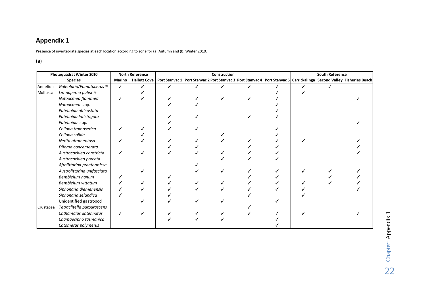## **Appendix 1**

Presence of invertebrate species at each location according to zone for (a) Autumn and (b) Winter 2010.

## (a)

| Photoquadrat Winter 2010 |                             |        | <b>North Reference</b> | Construction |  |  |  |  | <b>South Reference</b> |                                                                                                                                         |  |
|--------------------------|-----------------------------|--------|------------------------|--------------|--|--|--|--|------------------------|-----------------------------------------------------------------------------------------------------------------------------------------|--|
|                          | <b>Species</b>              | Marino |                        |              |  |  |  |  |                        | Hallett Cove   Port Stanvac 1 Port Stanvac 2 Port Stanvac 3 Port Stanvac 4 Port Stanvac 5   Carrickalinga Second Valley Fisheries Beach |  |
| Annelida                 | Galeolaria/Pomatoceros %    |        |                        |              |  |  |  |  |                        |                                                                                                                                         |  |
| Mollusca                 | Limnoperna pulex %          |        |                        |              |  |  |  |  |                        |                                                                                                                                         |  |
|                          | Notoacmea flammea           |        |                        |              |  |  |  |  |                        |                                                                                                                                         |  |
|                          | Notoacmea spp.              |        |                        |              |  |  |  |  |                        |                                                                                                                                         |  |
|                          | Patelloida alticostata      |        |                        |              |  |  |  |  |                        |                                                                                                                                         |  |
|                          | Patelloida latistrigata     |        |                        |              |  |  |  |  |                        |                                                                                                                                         |  |
|                          | Patelloida spp.             |        |                        |              |  |  |  |  |                        |                                                                                                                                         |  |
|                          | Cellana tramoserica         |        |                        |              |  |  |  |  |                        |                                                                                                                                         |  |
|                          | Cellana solida              |        |                        |              |  |  |  |  |                        |                                                                                                                                         |  |
|                          | Nerita atramentosa          |        |                        |              |  |  |  |  |                        |                                                                                                                                         |  |
|                          | Diloma concamerata          |        |                        |              |  |  |  |  |                        |                                                                                                                                         |  |
|                          | Austrocochlea constricta    |        |                        |              |  |  |  |  |                        |                                                                                                                                         |  |
|                          | Austrocochlea porcata       |        |                        |              |  |  |  |  |                        |                                                                                                                                         |  |
|                          | Afrolittorina praetermissa  |        |                        |              |  |  |  |  |                        |                                                                                                                                         |  |
|                          | Austrolittorina unifasciata |        |                        |              |  |  |  |  |                        |                                                                                                                                         |  |
|                          | Bembicium nanum             |        |                        |              |  |  |  |  |                        |                                                                                                                                         |  |
|                          | Bembicium vittatum          |        |                        |              |  |  |  |  |                        |                                                                                                                                         |  |
|                          | Siphonaria diemenensis      |        |                        |              |  |  |  |  |                        |                                                                                                                                         |  |
|                          | Siphonaria zelandica        |        |                        |              |  |  |  |  |                        |                                                                                                                                         |  |
|                          | Unidentified gastropod      |        |                        |              |  |  |  |  |                        |                                                                                                                                         |  |
| Crustacea                | Tetraclitella purpurascens  |        |                        |              |  |  |  |  |                        |                                                                                                                                         |  |
|                          | Chthamalus antennatus       |        |                        |              |  |  |  |  |                        |                                                                                                                                         |  |
|                          | Chamaesipho tasmanica       |        |                        |              |  |  |  |  |                        |                                                                                                                                         |  |
|                          | Catomerus polymerus         |        |                        |              |  |  |  |  |                        |                                                                                                                                         |  |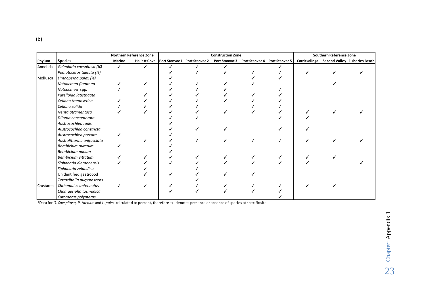|           |                             |        | Northern Reference Zone | <b>Construction Zone</b> |                                                                                         |  |  | Southern Reference Zone |  |                                             |  |
|-----------|-----------------------------|--------|-------------------------|--------------------------|-----------------------------------------------------------------------------------------|--|--|-------------------------|--|---------------------------------------------|--|
| Phylum    | <b>Species</b>              | Marino |                         |                          | Hallett Cove Port Stanvac 1 Port Stanvac 2 Port Stanvac 3 Port Stanvac 4 Port Stanvac 5 |  |  |                         |  | Carrickalinga Second Valley Fisheries Beach |  |
| Annelida  | Galeolaria caespitosa (%)   | ✓      | ✓                       |                          |                                                                                         |  |  |                         |  |                                             |  |
|           | Pomatoceros taenita (%)     |        |                         |                          |                                                                                         |  |  |                         |  |                                             |  |
| Mollusca  | Limnoperna pulex (%)        |        |                         |                          |                                                                                         |  |  |                         |  |                                             |  |
|           | Notoacmea flammea           |        |                         |                          |                                                                                         |  |  |                         |  |                                             |  |
|           | Notoacmea spp.              |        |                         |                          |                                                                                         |  |  |                         |  |                                             |  |
|           | Patelloida latistrigata     |        |                         |                          |                                                                                         |  |  |                         |  |                                             |  |
|           | Cellana tramoserica         |        |                         |                          |                                                                                         |  |  |                         |  |                                             |  |
|           | Cellana solida              |        |                         |                          |                                                                                         |  |  |                         |  |                                             |  |
|           | Nerita atramentosa          |        |                         |                          |                                                                                         |  |  |                         |  |                                             |  |
|           | Diloma concamerata          |        |                         |                          |                                                                                         |  |  |                         |  |                                             |  |
|           | Austrocochlea rudis         |        |                         |                          |                                                                                         |  |  |                         |  |                                             |  |
|           | Austrocochlea constricta    |        |                         |                          |                                                                                         |  |  |                         |  |                                             |  |
|           | Austrocochlea porcata       |        |                         |                          |                                                                                         |  |  |                         |  |                                             |  |
|           | Austrolittorina unifasciata |        |                         |                          |                                                                                         |  |  |                         |  |                                             |  |
|           | Bembicium auratum           |        |                         |                          |                                                                                         |  |  |                         |  |                                             |  |
|           | Bembicium nanum             |        |                         |                          |                                                                                         |  |  |                         |  |                                             |  |
|           | Bembicium vittatum          |        |                         |                          |                                                                                         |  |  |                         |  |                                             |  |
|           | Siphonaria diemenensis      |        |                         |                          |                                                                                         |  |  |                         |  |                                             |  |
|           | Siphonaria zelandica        |        |                         |                          |                                                                                         |  |  |                         |  |                                             |  |
|           | Unidentified gastropod      |        |                         |                          |                                                                                         |  |  |                         |  |                                             |  |
|           | Tetraclitella purpurascens  |        |                         |                          |                                                                                         |  |  |                         |  |                                             |  |
| Crustacea | Chthamalus antennatus       |        |                         |                          |                                                                                         |  |  |                         |  |                                             |  |
|           | Chamaesipho tasmanica       |        |                         |                          |                                                                                         |  |  |                         |  |                                             |  |
|           | Catomerus polymerus         |        |                         |                          |                                                                                         |  |  |                         |  |                                             |  |

\*Data for *G. Caespitosa, P. taenita* and *L. pulex* calculated to percent, therefore +/- denotes presence or absence of species at specific site